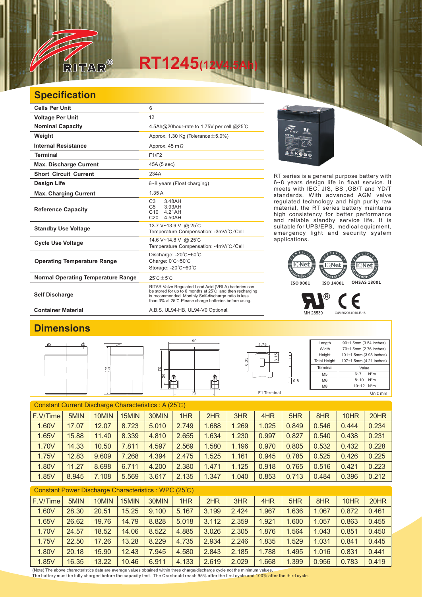

## $RT1245(12)$

## **Specification**

| <b>Cells Per Unit</b>                     | 6                                                                                                                                                                                                                                            |  |  |  |  |  |
|-------------------------------------------|----------------------------------------------------------------------------------------------------------------------------------------------------------------------------------------------------------------------------------------------|--|--|--|--|--|
| <b>Voltage Per Unit</b>                   | 12                                                                                                                                                                                                                                           |  |  |  |  |  |
| <b>Nominal Capacity</b>                   | 4.5Ah@20hour-rate to 1.75V per cell @25°C                                                                                                                                                                                                    |  |  |  |  |  |
| Weight                                    | Approx. 1.30 Kg (Tolerance $\pm$ 5.0%)                                                                                                                                                                                                       |  |  |  |  |  |
| <b>Internal Resistance</b>                | Approx. $45 \text{ m}\Omega$                                                                                                                                                                                                                 |  |  |  |  |  |
| <b>Terminal</b>                           | F1/F2                                                                                                                                                                                                                                        |  |  |  |  |  |
| <b>Max. Discharge Current</b>             | 45A (5 sec)                                                                                                                                                                                                                                  |  |  |  |  |  |
| <b>Short Circuit Current</b>              | 234A                                                                                                                                                                                                                                         |  |  |  |  |  |
| Design Life                               | 6~8 years (Float charging)                                                                                                                                                                                                                   |  |  |  |  |  |
| <b>Max. Charging Current</b>              | 1.35A                                                                                                                                                                                                                                        |  |  |  |  |  |
| <b>Reference Capacity</b>                 | C <sub>3</sub><br>3.48AH<br>C <sub>5</sub><br>3.93AH<br>C10<br>4 21 AH<br>C <sub>20</sub><br>4.50AH                                                                                                                                          |  |  |  |  |  |
| <b>Standby Use Voltage</b>                | 13.7 V~13.9 V @ 25°C<br>Temperature Compensation: -3mV/°C/Cell                                                                                                                                                                               |  |  |  |  |  |
| <b>Cycle Use Voltage</b>                  | 14.6 V~14.8 V @ 25°C<br>Temperature Compensation: -4mV/°C/Cell                                                                                                                                                                               |  |  |  |  |  |
| <b>Operating Temperature Range</b>        | Discharge: $-20^{\circ}$ C $-60^{\circ}$ C<br>Charge: 0°C~50°C<br>Storage: -20°C~60°C                                                                                                                                                        |  |  |  |  |  |
| <b>Normal Operating Temperature Range</b> | $25^{\circ}$ C + 5 $^{\circ}$ C                                                                                                                                                                                                              |  |  |  |  |  |
| <b>Self Discharge</b>                     | RITAR Valve Regulated Lead Acid (VRLA) batteries can<br>be stored for up to 6 months at $25^{\circ}$ C and then recharging<br>is recommended. Monthly Self-discharge ratio is less<br>than 3% at 25°C. Please charge batteries before using. |  |  |  |  |  |



RT series is a general purpose battery with 6~8 years design life in float service. It meets with IEC, JIS, BS ,GB/T and YD/T standards. With advanced AGM valve regulated technology and high purity raw material, the RT series battery maintains high consistency for better performance and reliable standby service life. It is suitable for UPS/EPS, medical equipment, emergency light and security system applications.



MH 28539 G4M20206-0910-E-16

€

®

Container Material **Container Material** A.B.S. UL94-HB, UL94-V0 Optional.

## **Dimensions**



| <b>Constant Current Discharge Characteristics: A (25°C)</b> |       |       |       |       |       |       |       |       |       |       |       |       |
|-------------------------------------------------------------|-------|-------|-------|-------|-------|-------|-------|-------|-------|-------|-------|-------|
| F.V/Time                                                    | 5MIN  | 10MIN | 15MIN | 30MIN | 1HR   | 2HR   | 3HR   | 4HR   | 5HR   | 8HR   | 10HR  | 20HR  |
| 1.60V                                                       | 17.07 | 12.07 | 8.723 | 5.010 | 2.749 | 1.688 | .269  | 1.025 | 0.849 | 0.546 | 0.444 | 0.234 |
| 1.65V                                                       | 15.88 | 11.40 | 8.339 | 4.810 | 2.655 | 1.634 | 1.230 | 0.997 | 0.827 | 0.540 | 0.438 | 0.231 |
| 1.70V                                                       | 14.33 | 10.50 | 7.811 | 4.597 | 2.569 | .580  | 1.196 | 0.970 | 0.805 | 0.532 | 0.432 | 0.228 |
| 1.75V                                                       | 12.83 | 9.609 | 7.268 | 4.394 | 2.475 | 1.525 | 1.161 | 0.945 | 0.785 | 0.525 | 0.426 | 0.225 |
| 1.80V                                                       | 11.27 | 8.698 | 6.711 | 4.200 | 2.380 | 1.471 | 1.125 | 0.918 | 0.765 | 0.516 | 0.421 | 0.223 |
| 1.85V                                                       | 8.945 | 7.108 | 5.569 | 3.617 | 2.135 | 1.347 | 1.040 | 0.853 | 0.713 | 0.484 | 0.396 | 0.212 |

| Constant Power Discharge Characteristics: WPC (25°C) |       |       |       |       |       |       |       |       |       |       |       |       |
|------------------------------------------------------|-------|-------|-------|-------|-------|-------|-------|-------|-------|-------|-------|-------|
| F.V/Time                                             | 5MIN  | 10MIN | 15MIN | 30MIN | 1HR   | 2HR   | 3HR   | 4HR   | 5HR   | 8HR   | 10HR  | 20HR  |
| 1.60V                                                | 28.30 | 20.51 | 15.25 | 9.100 | 5.167 | 3.199 | 2.424 | 1.967 | 1.636 | 1.067 | 0.872 | 0.461 |
| 1.65V                                                | 26.62 | 19.76 | 14.79 | 8.828 | 5.018 | 3.112 | 2.359 | 1.921 | 1.600 | 1.057 | 0.863 | 0.455 |
| 1.70V                                                | 24.57 | 18.52 | 14.06 | 8.522 | 4.885 | 3.026 | 2.305 | 1.876 | 1.564 | 1.043 | 0.851 | 0.450 |
| 1.75V                                                | 22.50 | 17.26 | 13.28 | 8.229 | 4.735 | 2.934 | 2.246 | 1.835 | 1.529 | 1.031 | 0.841 | 0.445 |
| 1.80V                                                | 20.18 | 15.90 | 12.43 | 7.945 | 4.580 | 2.843 | 2.185 | 1.788 | 1.495 | 1.016 | 0.831 | 0.441 |
| 1.85V                                                | 16.35 | 13.22 | 10.46 | 6.911 | 4.133 | 2.619 | 2.029 | 1.668 | 1.399 | 0.956 | 0.783 | 0.419 |

(Note) The above characteristics data are average values obtained within three charge/discharge cycle not the minimum values. The battery must be fully charged before the capacity test. The C<sub>20</sub> should reach 95% after the first cycle and 100% after the third cycle.